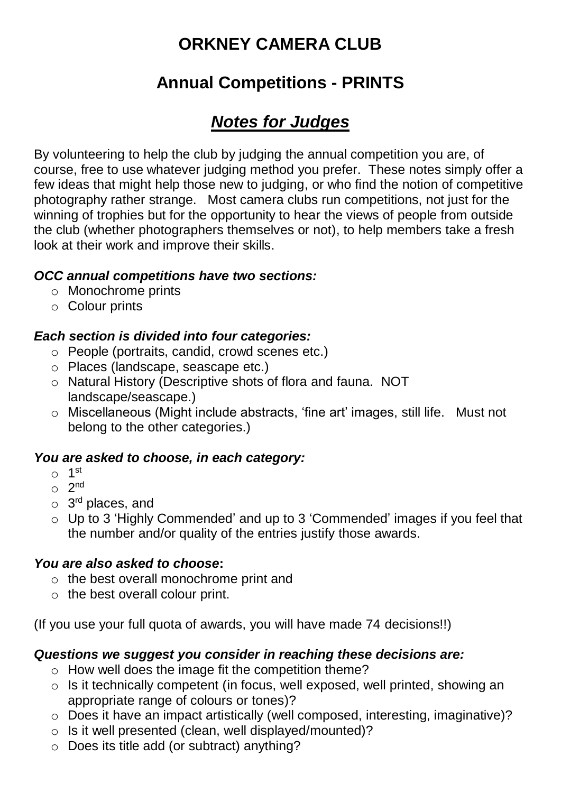# **ORKNEY CAMERA CLUB**

## **Annual Competitions - PRINTS**

## *Notes for Judges*

By volunteering to help the club by judging the annual competition you are, of course, free to use whatever judging method you prefer. These notes simply offer a few ideas that might help those new to judging, or who find the notion of competitive photography rather strange. Most camera clubs run competitions, not just for the winning of trophies but for the opportunity to hear the views of people from outside the club (whether photographers themselves or not), to help members take a fresh look at their work and improve their skills.

### *OCC annual competitions have two sections:*

- o Monochrome prints
- o Colour prints

### *Each section is divided into four categories:*

- o People (portraits, candid, crowd scenes etc.)
- o Places (landscape, seascape etc.)
- o Natural History (Descriptive shots of flora and fauna. NOT landscape/seascape.)
- o Miscellaneous (Might include abstracts, 'fine art' images, still life. Must not belong to the other categories.)

## *You are asked to choose, in each category:*

- o 1 st
- $\circ$  2<sup>nd</sup>
- o 3<sup>rd</sup> places, and
- o Up to 3 'Highly Commended' and up to 3 'Commended' images if you feel that the number and/or quality of the entries justify those awards.

#### *You are also asked to choose***:**

- o the best overall monochrome print and
- $\circ$  the best overall colour print.

(If you use your full quota of awards, you will have made 74 decisions!!)

#### *Questions we suggest you consider in reaching these decisions are:*

- o How well does the image fit the competition theme?
- o Is it technically competent (in focus, well exposed, well printed, showing an appropriate range of colours or tones)?
- o Does it have an impact artistically (well composed, interesting, imaginative)?
- o Is it well presented (clean, well displayed/mounted)?
- o Does its title add (or subtract) anything?